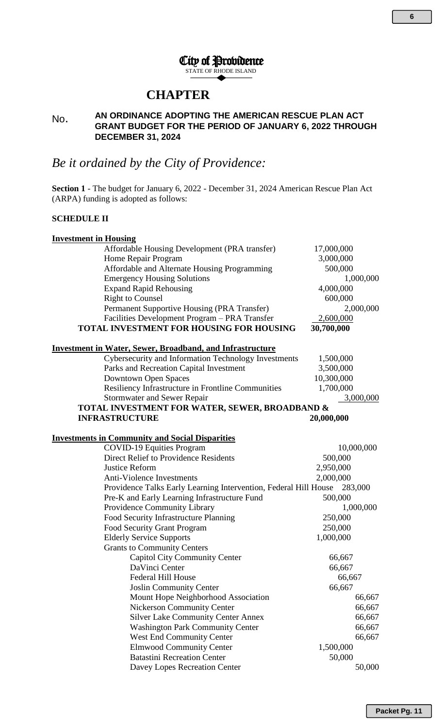### City of Providence STATE OF RHODE ISLAND

## **CHAPTER**

#### No. **AN ORDINANCE ADOPTING THE AMERICAN RESCUE PLAN ACT GRANT BUDGET FOR THE PERIOD OF JANUARY 6, 2022 THROUGH DECEMBER 31, 2024**

# *Be it ordained by the City of Providence:*

**Section 1** - The budget for January 6, 2022 - December 31, 2024 American Rescue Plan Act (ARPA) funding is adopted as follows:

### **SCHEDULE II**

| <b>Investment in Housing</b>                                     |            |
|------------------------------------------------------------------|------------|
| Affordable Housing Development (PRA transfer)                    | 17,000,000 |
| Home Repair Program                                              | 3,000,000  |
| Affordable and Alternate Housing Programming                     | 500,000    |
| <b>Emergency Housing Solutions</b>                               | 1,000,000  |
| <b>Expand Rapid Rehousing</b>                                    | 4,000,000  |
| <b>Right to Counsel</b>                                          | 600,000    |
| Permanent Supportive Housing (PRA Transfer)                      | 2,000,000  |
| Facilities Development Program - PRA Transfer                    | 2,600,000  |
| TOTAL INVESTMENT FOR HOUSING FOR HOUSING                         | 30,700,000 |
| <b>Investment in Water, Sewer, Broadband, and Infrastructure</b> |            |
| Cybersecurity and Information Technology Investments             | 1,500,000  |
| Parks and Recreation Capital Investment                          | 3,500,000  |
| <b>Downtown Open Spaces</b>                                      | 10,300,000 |
| Resiliency Infrastructure in Frontline Communities               | 1,700,000  |
| Stormwater and Sewer Repair                                      | 3,000,000  |
| TOTAL INVESTMENT FOR WATER, SEWER, BROADBAND &                   |            |
| <b>INFRASTRUCTURE</b>                                            | 20,000,000 |
|                                                                  |            |
| <b>Investments in Community and Social Disparities</b>           |            |
| <b>COVID-19 Equities Program</b>                                 | 10,000,000 |
| <b>Direct Relief to Providence Residents</b>                     | 500,000    |
| Justice Reform                                                   | 2,950,000  |
| <b>Anti-Violence Investments</b>                                 | 2,000,000  |
| Providence Talks Early Learning Intervention, Federal Hill House | 283,000    |
| Pre-K and Early Learning Infrastructure Fund                     | 500,000    |
| Providence Community Library                                     | 1,000,000  |
| Food Security Infrastructure Planning                            | 250,000    |
| Food Security Grant Program                                      | 250,000    |
| <b>Elderly Service Supports</b>                                  | 1,000,000  |
| <b>Grants to Community Centers</b>                               |            |
| <b>Capitol City Community Center</b>                             | 66,667     |
| DaVinci Center                                                   | 66,667     |
| Federal Hill House                                               | 66,667     |
| <b>Joslin Community Center</b>                                   | 66,667     |
| Mount Hope Neighborhood Association                              | 66,667     |
| <b>Nickerson Community Center</b>                                | 66,667     |
| <b>Silver Lake Community Center Annex</b>                        | 66,667     |
| <b>Washington Park Community Center</b>                          | 66,667     |
| <b>West End Community Center</b>                                 | 66,667     |
| <b>Elmwood Community Center</b>                                  | 1,500,000  |
| <b>Batastini Recreation Center</b>                               | 50,000     |
| Davey Lopes Recreation Center                                    | 50,000     |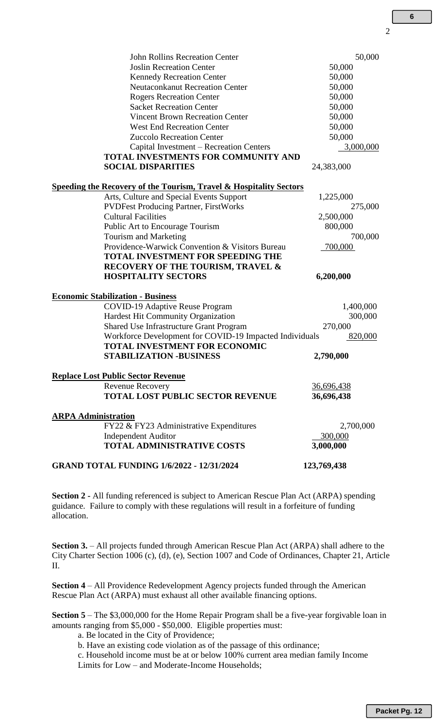| <b>John Rollins Recreation Center</b>                                         | 50,000            |
|-------------------------------------------------------------------------------|-------------------|
| <b>Joslin Recreation Center</b>                                               | 50,000            |
| <b>Kennedy Recreation Center</b>                                              | 50,000            |
| <b>Neutaconkanut Recreation Center</b>                                        | 50,000            |
| <b>Rogers Recreation Center</b>                                               | 50,000            |
| <b>Sacket Recreation Center</b>                                               | 50,000            |
| <b>Vincent Brown Recreation Center</b>                                        | 50,000            |
| <b>West End Recreation Center</b>                                             | 50,000            |
| <b>Zuccolo Recreation Center</b>                                              | 50,000            |
| Capital Investment - Recreation Centers                                       | 3,000,000         |
| <b>TOTAL INVESTMENTS FOR COMMUNITY AND</b>                                    |                   |
| <b>SOCIAL DISPARITIES</b>                                                     | 24,383,000        |
| <b>Speeding the Recovery of the Tourism, Travel &amp; Hospitality Sectors</b> |                   |
| Arts, Culture and Special Events Support                                      | 1,225,000         |
| <b>PVDFest Producing Partner, FirstWorks</b>                                  | 275,000           |
| <b>Cultural Facilities</b>                                                    | 2,500,000         |
| Public Art to Encourage Tourism                                               | 800,000           |
| Tourism and Marketing                                                         | 700,000           |
| Providence-Warwick Convention & Visitors Bureau                               | 700,000           |
| <b>TOTAL INVESTMENT FOR SPEEDING THE</b>                                      |                   |
| RECOVERY OF THE TOURISM, TRAVEL &                                             |                   |
| <b>HOSPITALITY SECTORS</b>                                                    | 6,200,000         |
| <b>Economic Stabilization - Business</b>                                      |                   |
| <b>COVID-19 Adaptive Reuse Program</b>                                        | 1,400,000         |
| Hardest Hit Community Organization                                            | 300,000           |
| <b>Shared Use Infrastructure Grant Program</b>                                | 270,000           |
| Workforce Development for COVID-19 Impacted Individuals                       | 820,000           |
| <b>TOTAL INVESTMENT FOR ECONOMIC</b>                                          |                   |
| <b>STABILIZATION -BUSINESS</b>                                                | 2,790,000         |
| <b>Replace Lost Public Sector Revenue</b>                                     |                   |
| Revenue Recovery                                                              | <u>36,696,438</u> |
| <b>TOTAL LOST PUBLIC SECTOR REVENUE</b>                                       | 36,696,438        |
| <b>ARPA Administration</b>                                                    |                   |
| FY22 & FY23 Administrative Expenditures                                       | 2,700,000         |
| <b>Independent Auditor</b>                                                    | 300,000           |
| <b>TOTAL ADMINISTRATIVE COSTS</b>                                             | 3,000,000         |
| <b>GRAND TOTAL FUNDING 1/6/2022 - 12/31/2024</b>                              | 123,769,438       |

**Section 2 -** All funding referenced is subject to American Rescue Plan Act (ARPA) spending guidance. Failure to comply with these regulations will result in a forfeiture of funding allocation.

**Section 3.** – All projects funded through American Rescue Plan Act (ARPA) shall adhere to the City Charter Section 1006 (c), (d), (e), Section 1007 and Code of Ordinances, Chapter 21, Article II.

**Section 4** – All Providence Redevelopment Agency projects funded through the American Rescue Plan Act (ARPA) must exhaust all other available financing options.

**Section 5** – The \$3,000,000 for the Home Repair Program shall be a five-year forgivable loan in amounts ranging from \$5,000 - \$50,000. Eligible properties must:

a. Be located in the City of Providence;

b. Have an existing code violation as of the passage of this ordinance;

c. Household income must be at or below 100% current area median family Income

Limits for Low – and Moderate-Income Households;

2